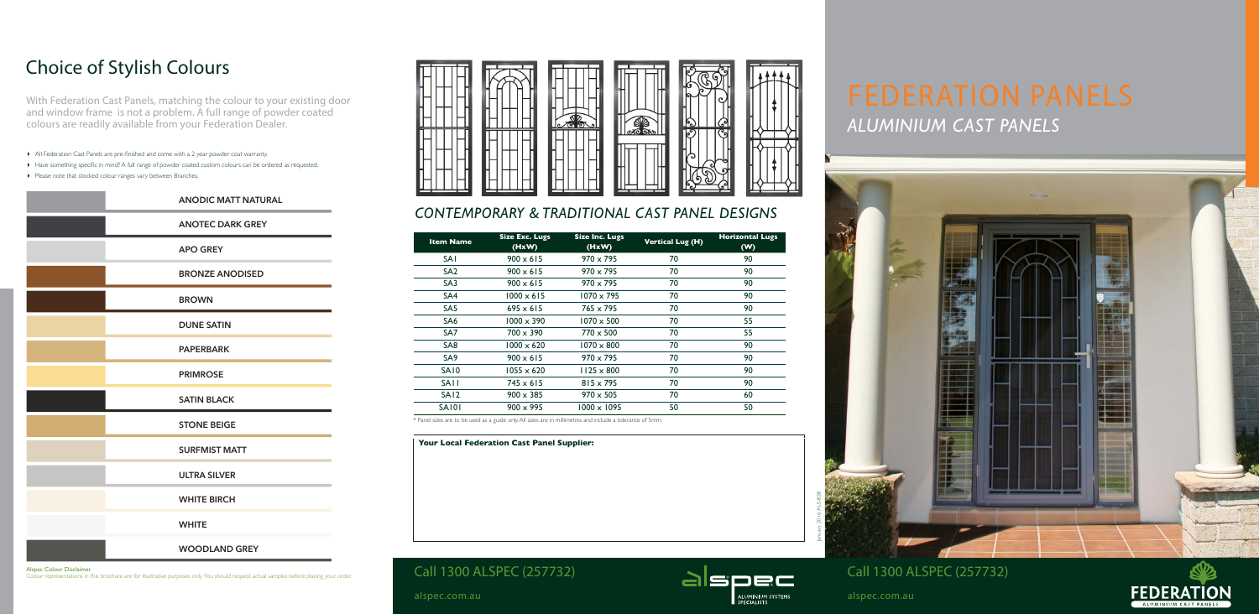# *ALUMINIUM CAST PANELS*

## *CONTEMPORARY & TRADITIONAL CAST PANEL DESIGNS*



**Your Local Federation Cast Panel Supplier:**



## Choice of Stylish Colours

With Federation Cast Panels, matching the colour to your existing door and window frame is not a problem. A full range of powder coated colours are readily available from your Federation Dealer.

- 4 All Federation Cast Panels are pre-finished and come with a 2 year powder coat warranty.
- 4 Have something specific in mind? A full range of powder coated custom colours can be ordered as requested.
- 4 Please note that stocked colour ranges vary between Branches.





Alspec Colour Disclaimer

Colour representations in this brochure are for illustrative purposes only. You should request actual samples before placing your order.



| <b>Item Name</b> | <b>Size Exc. Lugs</b><br>(HxW) | <b>Size Inc. Lugs</b><br>(HxW) | <b>Vertical Lug (H)</b> | <b>Horizontal Lugs</b><br>(W) |
|------------------|--------------------------------|--------------------------------|-------------------------|-------------------------------|
| <b>SAI</b>       | $900 \times 615$               | $970 \times 795$               | 70                      | 90                            |
| SA <sub>2</sub>  | $900 \times 615$               | $970 \times 795$               | 70                      | 90                            |
| SA <sub>3</sub>  | $900 \times 615$               | $970 \times 795$               | 70                      | 90                            |
| SA4              | $1000 \times 615$              | $1070 \times 795$              | 70                      | 90                            |
| SA <sub>5</sub>  | $695 \times 615$               | $765 \times 795$               | 70                      | 90                            |
| SA <sub>6</sub>  | $1000 \times 390$              | $1070 \times 500$              | 70                      | 55                            |
| SA <sub>7</sub>  | $700 \times 390$               | $770 \times 500$               | 70                      | 55                            |
| SA <sub>8</sub>  | $1000 \times 620$              | $1070 \times 800$              | 70                      | 90                            |
| SA <sub>9</sub>  | $900 \times 615$               | $970 \times 795$               | 70                      | 90                            |
| <b>SA10</b>      | $1055 \times 620$              | $1125 \times 800$              | 70                      | 90                            |
| <b>SAII</b>      | $745 \times 615$               | $815 \times 795$               | 70                      | 90                            |
| SA <sub>12</sub> | $900 \times 385$               | $970 \times 505$               | 70                      | 60                            |
| <b>SA101</b>     | $900 \times 995$               | $1000 \times 1095$             | 50                      | 50                            |

\* Panel sizes are to be used as a guide only. All sizes are in millimetres and include a tolerance of 5mm.

| <b>ANODIC MATT NATURAL</b> |  |
|----------------------------|--|
| <b>ANOTEC DARK GREY</b>    |  |
| <b>APO GREY</b>            |  |
| <b>BRONZE ANODISED</b>     |  |
| <b>BROWN</b>               |  |
| <b>DUNE SATIN</b>          |  |
| <b>PAPERBARK</b>           |  |
| <b>PRIMROSE</b>            |  |
| <b>SATIN BLACK</b>         |  |
| <b>STONE BEIGE</b>         |  |
| <b>SURFMIST MATT</b>       |  |
| <b>ULTRA SILVER</b>        |  |
| <b>WHITE BIRCH</b>         |  |
| <b>WHITE</b>               |  |
| <b>WOODLAND GREY</b>       |  |